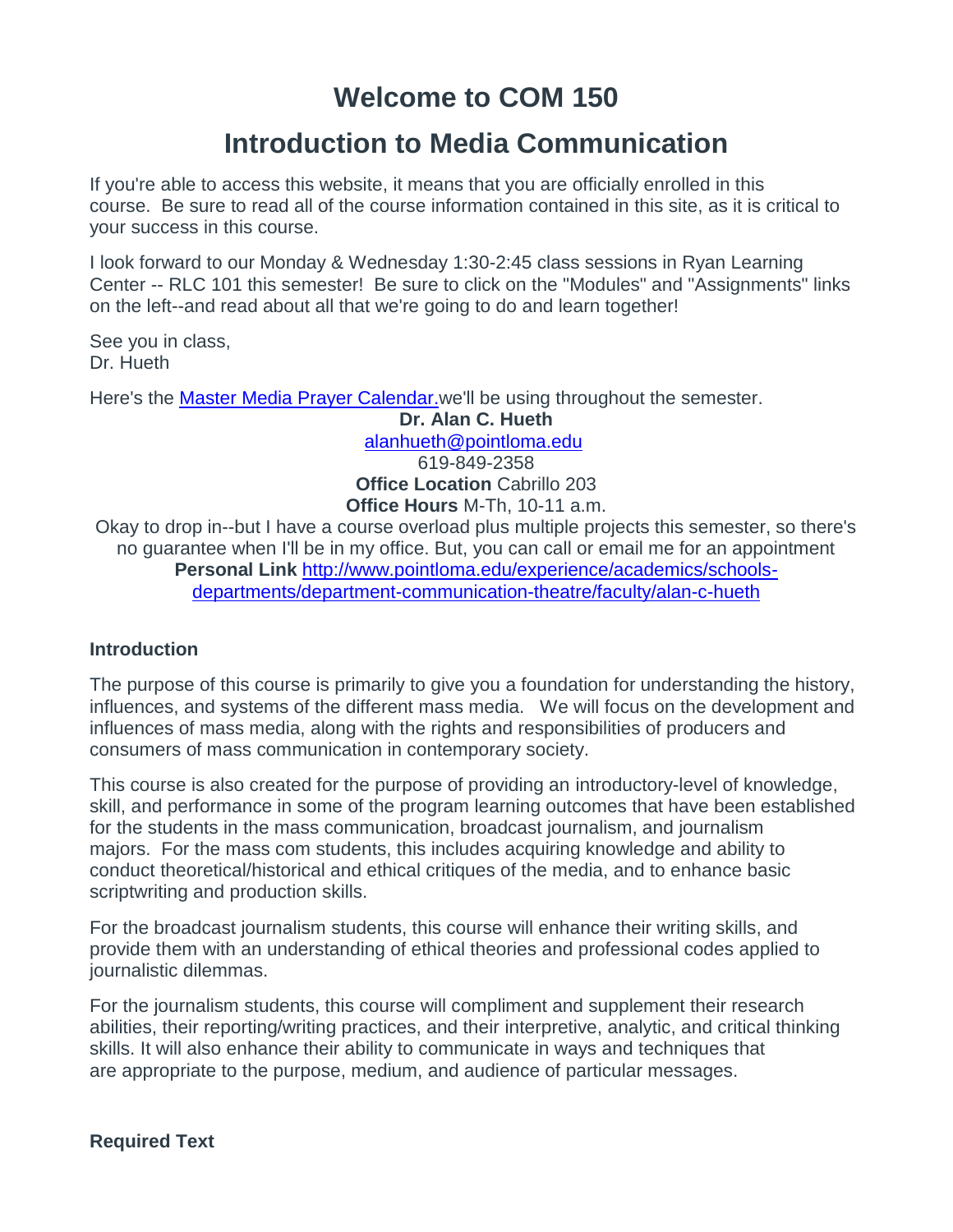# **Welcome to COM 150**

# **Introduction to Media Communication**

If you're able to access this website, it means that you are officially enrolled in this course. Be sure to read all of the course information contained in this site, as it is critical to your success in this course.

I look forward to our Monday & Wednesday 1:30-2:45 class sessions in Ryan Learning Center -- RLC 101 this semester! Be sure to click on the "Modules" and "Assignments" links on the left--and read about all that we're going to do and learn together!

See you in class, Dr. Hueth

Here's the [Master Media Prayer Calendar.w](http://www.mastermediaintl.org/resources/media-leader-prayer-calendar/)e'll be using throughout the semester.

**Dr. Alan C. Hueth** [alanhueth@pointloma.edu](mailto:alanhueth@pointloma.edu)

619-849-2358 **Office Location** Cabrillo 203 **Office Hours** M-Th, 10-11 a.m.

Okay to drop in--but I have a course overload plus multiple projects this semester, so there's no guarantee when I'll be in my office. But, you can call or email me for an appointment **Personal Link** [http://www.pointloma.edu/experience/academics/schools](http://www.pointloma.edu/experience/academics/schools-departments/department-communication-theatre/faculty/alan-c-hueth)[departments/department-communication-theatre/faculty/alan-c-hueth](http://www.pointloma.edu/experience/academics/schools-departments/department-communication-theatre/faculty/alan-c-hueth)

# **Introduction**

The purpose of this course is primarily to give you a foundation for understanding the history, influences, and systems of the different mass media. We will focus on the development and influences of mass media, along with the rights and responsibilities of producers and consumers of mass communication in contemporary society.

This course is also created for the purpose of providing an introductory-level of knowledge, skill, and performance in some of the program learning outcomes that have been established for the students in the mass communication, broadcast journalism, and journalism majors. For the mass com students, this includes acquiring knowledge and ability to conduct theoretical/historical and ethical critiques of the media, and to enhance basic scriptwriting and production skills.

For the broadcast journalism students, this course will enhance their writing skills, and provide them with an understanding of ethical theories and professional codes applied to journalistic dilemmas.

For the journalism students, this course will compliment and supplement their research abilities, their reporting/writing practices, and their interpretive, analytic, and critical thinking skills. It will also enhance their ability to communicate in ways and techniques that are appropriate to the purpose, medium, and audience of particular messages.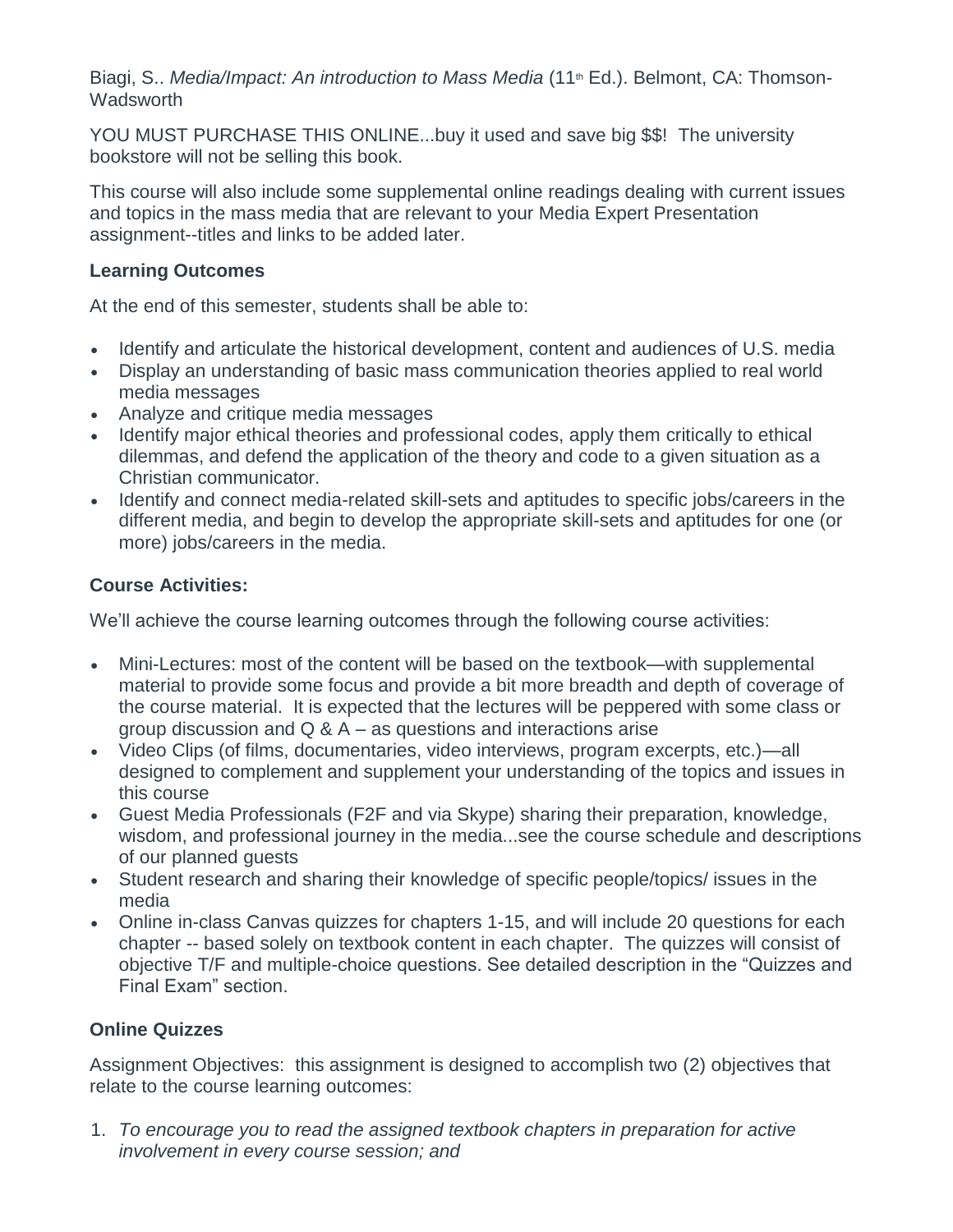Biagi, S.. *Media/Impact: An introduction to Mass Media* (11<sup>th</sup> Ed.). Belmont, CA: Thomson-**Wadsworth** 

YOU MUST PURCHASE THIS ONLINE...buy it used and save big \$\$! The university bookstore will not be selling this book.

This course will also include some supplemental online readings dealing with current issues and topics in the mass media that are relevant to your Media Expert Presentation assignment--titles and links to be added later.

# **Learning Outcomes**

At the end of this semester, students shall be able to:

- Identify and articulate the historical development, content and audiences of U.S. media
- Display an understanding of basic mass communication theories applied to real world media messages
- Analyze and critique media messages
- Identify major ethical theories and professional codes, apply them critically to ethical dilemmas, and defend the application of the theory and code to a given situation as a Christian communicator.
- Identify and connect media-related skill-sets and aptitudes to specific jobs/careers in the different media, and begin to develop the appropriate skill-sets and aptitudes for one (or more) jobs/careers in the media.

# **Course Activities:**

We'll achieve the course learning outcomes through the following course activities:

- Mini-Lectures: most of the content will be based on the textbook—with supplemental material to provide some focus and provide a bit more breadth and depth of coverage of the course material. It is expected that the lectures will be peppered with some class or group discussion and  $Q & A - as$  questions and interactions arise
- Video Clips (of films, documentaries, video interviews, program excerpts, etc.)—all designed to complement and supplement your understanding of the topics and issues in this course
- Guest Media Professionals (F2F and via Skype) sharing their preparation, knowledge, wisdom, and professional journey in the media...see the course schedule and descriptions of our planned guests
- Student research and sharing their knowledge of specific people/topics/ issues in the media
- Online in-class Canvas quizzes for chapters 1-15, and will include 20 questions for each chapter -- based solely on textbook content in each chapter. The quizzes will consist of objective T/F and multiple-choice questions. See detailed description in the "Quizzes and Final Exam" section.

# **Online Quizzes**

Assignment Objectives: this assignment is designed to accomplish two (2) objectives that relate to the course learning outcomes:

1. *To encourage you to read the assigned textbook chapters in preparation for active involvement in every course session; and*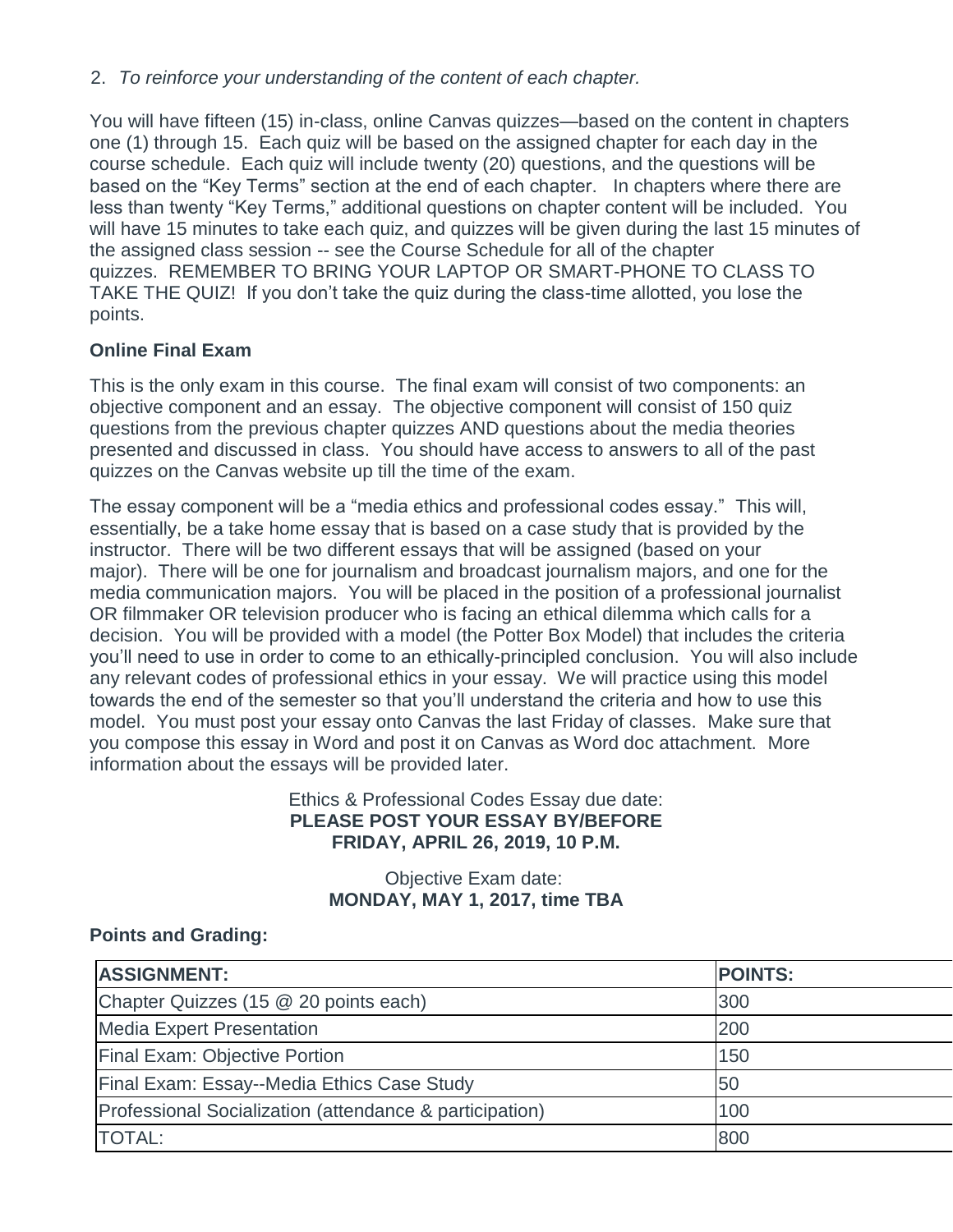## 2. *To reinforce your understanding of the content of each chapter.*

You will have fifteen (15) in-class, online Canvas quizzes—based on the content in chapters one (1) through 15. Each quiz will be based on the assigned chapter for each day in the course schedule. Each quiz will include twenty (20) questions, and the questions will be based on the "Key Terms" section at the end of each chapter. In chapters where there are less than twenty "Key Terms," additional questions on chapter content will be included. You will have 15 minutes to take each quiz, and quizzes will be given during the last 15 minutes of the assigned class session -- see the Course Schedule for all of the chapter quizzes. REMEMBER TO BRING YOUR LAPTOP OR SMART-PHONE TO CLASS TO TAKE THE QUIZ! If you don't take the quiz during the class-time allotted, you lose the points.

# **Online Final Exam**

This is the only exam in this course. The final exam will consist of two components: an objective component and an essay. The objective component will consist of 150 quiz questions from the previous chapter quizzes AND questions about the media theories presented and discussed in class. You should have access to answers to all of the past quizzes on the Canvas website up till the time of the exam.

The essay component will be a "media ethics and professional codes essay." This will, essentially, be a take home essay that is based on a case study that is provided by the instructor. There will be two different essays that will be assigned (based on your major). There will be one for journalism and broadcast journalism majors, and one for the media communication majors. You will be placed in the position of a professional journalist OR filmmaker OR television producer who is facing an ethical dilemma which calls for a decision. You will be provided with a model (the Potter Box Model) that includes the criteria you'll need to use in order to come to an ethically-principled conclusion. You will also include any relevant codes of professional ethics in your essay. We will practice using this model towards the end of the semester so that you'll understand the criteria and how to use this model. You must post your essay onto Canvas the last Friday of classes. Make sure that you compose this essay in Word and post it on Canvas as Word doc attachment. More information about the essays will be provided later.

## Ethics & Professional Codes Essay due date: **PLEASE POST YOUR ESSAY BY/BEFORE FRIDAY, APRIL 26, 2019, 10 P.M.**

# Objective Exam date: **MONDAY, MAY 1, 2017, time TBA**

# **Points and Grading:**

| <b>ASSIGNMENT:</b>                                      | <b>POINTS:</b> |
|---------------------------------------------------------|----------------|
| Chapter Quizzes (15 @ 20 points each)                   | 300            |
| <b>Media Expert Presentation</b>                        | 200            |
| <b>Final Exam: Objective Portion</b>                    | 150            |
| Final Exam: Essay--Media Ethics Case Study              | 50             |
| Professional Socialization (attendance & participation) | 100            |
| <b>TOTAL:</b>                                           | 800            |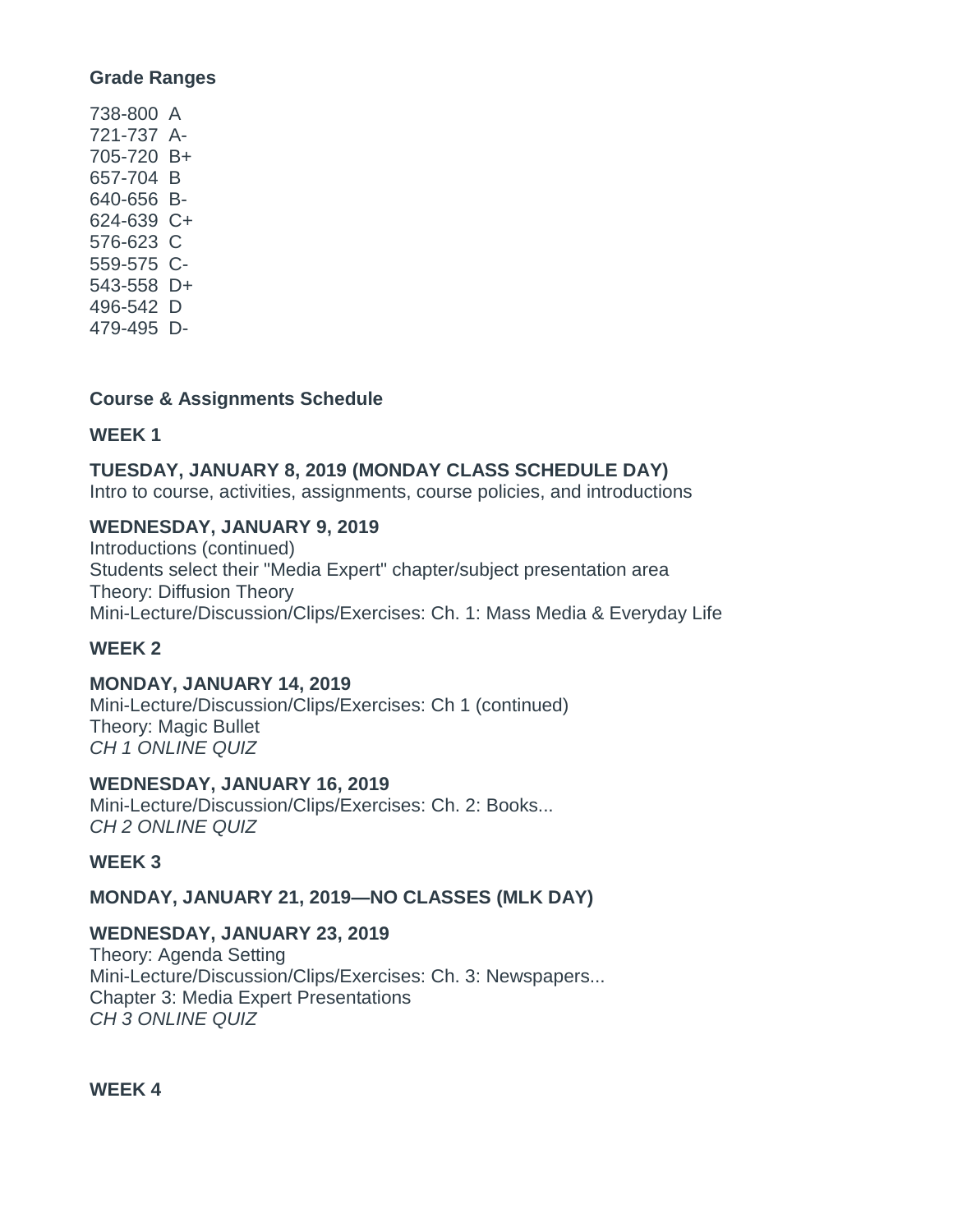#### **Grade Ranges**

738-800 A 721-737 A-705-720 B+ 657-704 B 640-656 B-624-639 C+ 576-623 C 559-575 C-543-558 D+ 496-542 D 479-495 D-

#### **Course & Assignments Schedule**

#### **WEEK 1**

### **TUESDAY, JANUARY 8, 2019 (MONDAY CLASS SCHEDULE DAY)**

Intro to course, activities, assignments, course policies, and introductions

#### **WEDNESDAY, JANUARY 9, 2019**

Introductions (continued) Students select their "Media Expert" chapter/subject presentation area Theory: Diffusion Theory Mini-Lecture/Discussion/Clips/Exercises: Ch. 1: Mass Media & Everyday Life

### **WEEK 2**

### **MONDAY, JANUARY 14, 2019**

Mini-Lecture/Discussion/Clips/Exercises: Ch 1 (continued) Theory: Magic Bullet *CH 1 ONLINE QUIZ*

#### **WEDNESDAY, JANUARY 16, 2019**

Mini-Lecture/Discussion/Clips/Exercises: Ch. 2: Books... *CH 2 ONLINE QUIZ*

### **WEEK 3**

### **MONDAY, JANUARY 21, 2019—NO CLASSES (MLK DAY)**

### **WEDNESDAY, JANUARY 23, 2019**

Theory: Agenda Setting Mini-Lecture/Discussion/Clips/Exercises: Ch. 3: Newspapers... Chapter 3: Media Expert Presentations *CH 3 ONLINE QUIZ*

**WEEK 4**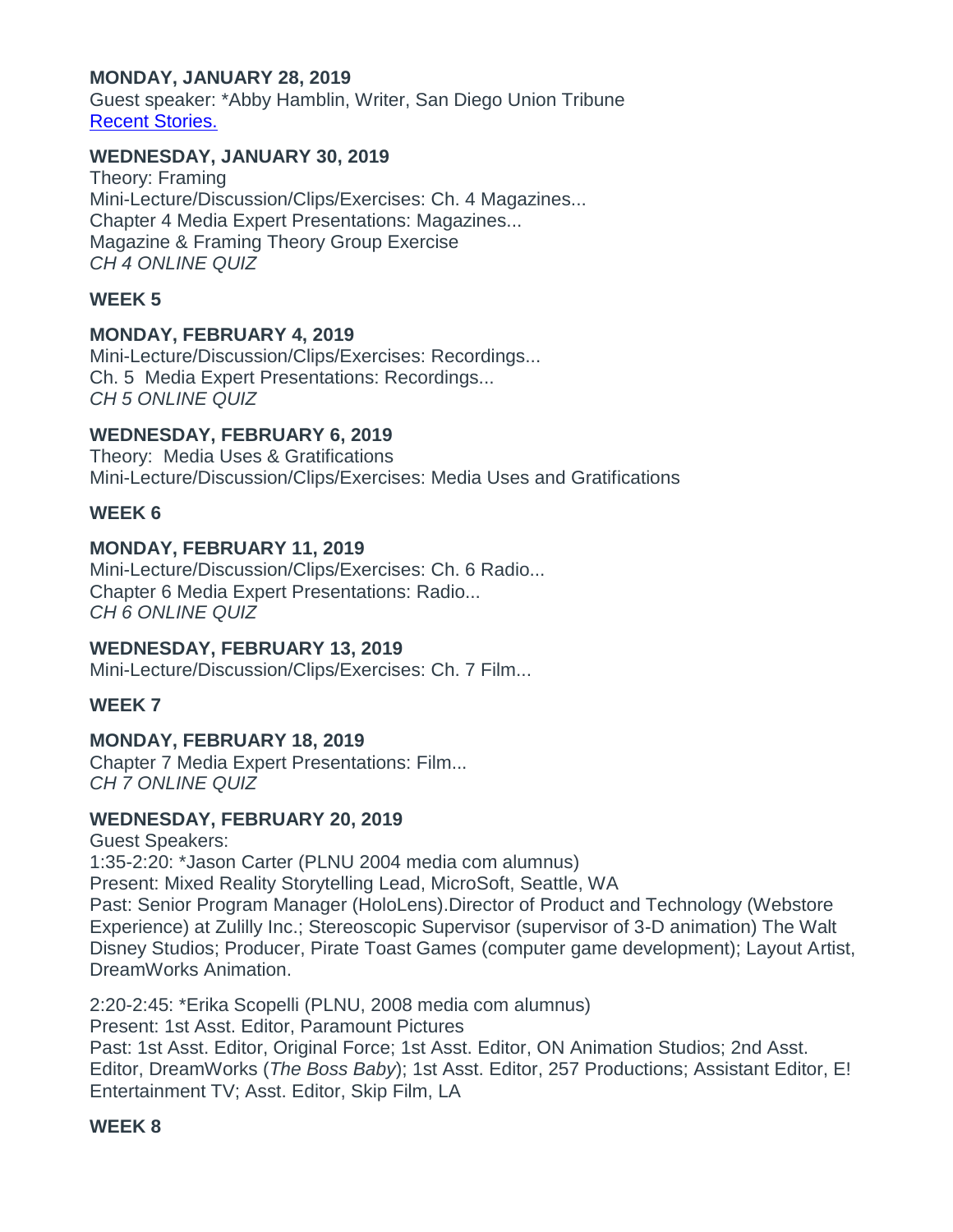## **MONDAY, JANUARY 28, 2019**

Guest speaker: \*Abby Hamblin, Writer, San Diego Union Tribune Recent [Stories.](http://www.sandiegouniontribune.com/sdut-abby-hamblin-staff.html)

#### **WEDNESDAY, JANUARY 30, 2019**

Theory: Framing Mini-Lecture/Discussion/Clips/Exercises: Ch. 4 Magazines... Chapter 4 Media Expert Presentations: Magazines... Magazine & Framing Theory Group Exercise *CH 4 ONLINE QUIZ*

## **WEEK 5**

#### **MONDAY, FEBRUARY 4, 2019**

Mini-Lecture/Discussion/Clips/Exercises: Recordings... Ch. 5 Media Expert Presentations: Recordings... *CH 5 ONLINE QUIZ*

#### **WEDNESDAY, FEBRUARY 6, 2019**

Theory: Media Uses & Gratifications Mini-Lecture/Discussion/Clips/Exercises: Media Uses and Gratifications

#### **WEEK 6**

#### **MONDAY, FEBRUARY 11, 2019**

Mini-Lecture/Discussion/Clips/Exercises: Ch. 6 Radio... Chapter 6 Media Expert Presentations: Radio... *CH 6 ONLINE QUIZ*

#### **WEDNESDAY, FEBRUARY 13, 2019**

Mini-Lecture/Discussion/Clips/Exercises: Ch. 7 Film...

### **WEEK 7**

### **MONDAY, FEBRUARY 18, 2019**

Chapter 7 Media Expert Presentations: Film... *CH 7 ONLINE QUIZ*

#### **WEDNESDAY, FEBRUARY 20, 2019**

### Guest Speakers:

1:35-2:20: \*Jason Carter (PLNU 2004 media com alumnus) Present: Mixed Reality Storytelling Lead, MicroSoft, Seattle, WA Past: Senior Program Manager (HoloLens).Director of Product and Technology (Webstore Experience) at Zulilly Inc.; Stereoscopic Supervisor (supervisor of 3-D animation) The Walt Disney Studios; Producer, Pirate Toast Games (computer game development); Layout Artist, DreamWorks Animation.

2:20-2:45: \*Erika Scopelli (PLNU, 2008 media com alumnus) Present: 1st Asst. Editor, Paramount Pictures Past: 1st Asst. Editor, Original Force; 1st Asst. Editor, ON Animation Studios; 2nd Asst. Editor, DreamWorks (*The Boss Baby*); 1st Asst. Editor, 257 Productions; Assistant Editor, E! Entertainment TV; Asst. Editor, Skip Film, LA

#### **WEEK 8**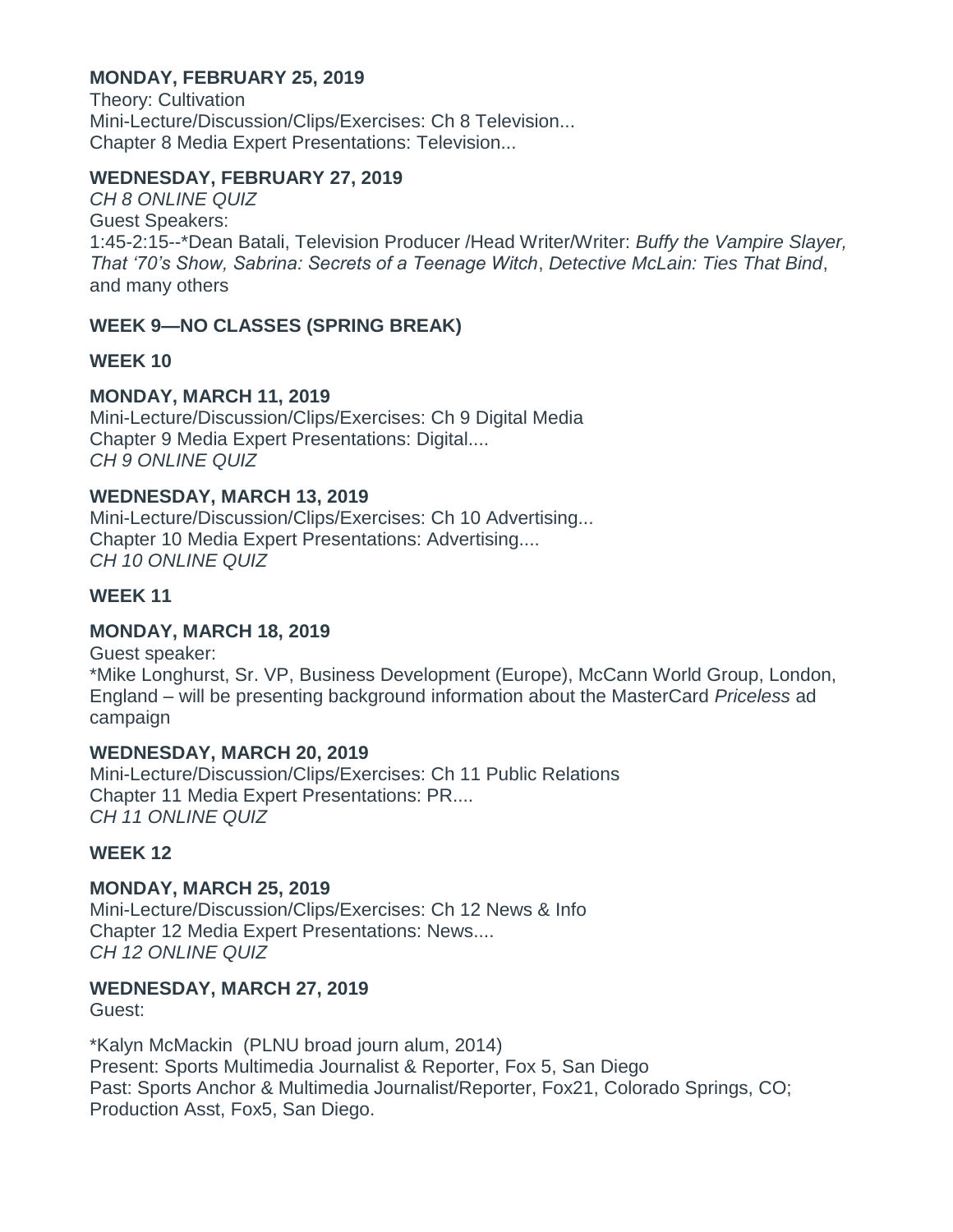## **MONDAY, FEBRUARY 25, 2019**

Theory: Cultivation Mini-Lecture/Discussion/Clips/Exercises: Ch 8 Television... Chapter 8 Media Expert Presentations: Television...

## **WEDNESDAY, FEBRUARY 27, 2019**

*CH 8 ONLINE QUIZ* Guest Speakers: 1:45-2:15--\*Dean Batali, Television Producer /Head Writer/Writer: *Buffy the Vampire Slayer, That '70's Show, Sabrina: Secrets of a Teenage Witch*, *Detective McLain: Ties That Bind*, and many others

# **WEEK 9—NO CLASSES (SPRING BREAK)**

## **WEEK 10**

# **MONDAY, MARCH 11, 2019**

Mini-Lecture/Discussion/Clips/Exercises: Ch 9 Digital Media Chapter 9 Media Expert Presentations: Digital.... *CH 9 ONLINE QUIZ*

### **WEDNESDAY, MARCH 13, 2019**

Mini-Lecture/Discussion/Clips/Exercises: Ch 10 Advertising... Chapter 10 Media Expert Presentations: Advertising.... *CH 10 ONLINE QUIZ*

## **WEEK 11**

### **MONDAY, MARCH 18, 2019**

Guest speaker: \*Mike Longhurst, Sr. VP, Business Development (Europe), McCann World Group, London, England – will be presenting background information about the MasterCard *Priceless* ad campaign

## **WEDNESDAY, MARCH 20, 2019**

Mini-Lecture/Discussion/Clips/Exercises: Ch 11 Public Relations Chapter 11 Media Expert Presentations: PR.... *CH 11 ONLINE QUIZ*

### **WEEK 12**

**MONDAY, MARCH 25, 2019** Mini-Lecture/Discussion/Clips/Exercises: Ch 12 News & Info Chapter 12 Media Expert Presentations: News.... *CH 12 ONLINE QUIZ*

### **WEDNESDAY, MARCH 27, 2019**

### Guest:

\*Kalyn McMackin (PLNU broad journ alum, 2014) Present: Sports Multimedia Journalist & Reporter, Fox 5, San Diego Past: Sports Anchor & Multimedia Journalist/Reporter, Fox21, Colorado Springs, CO; Production Asst, Fox5, San Diego.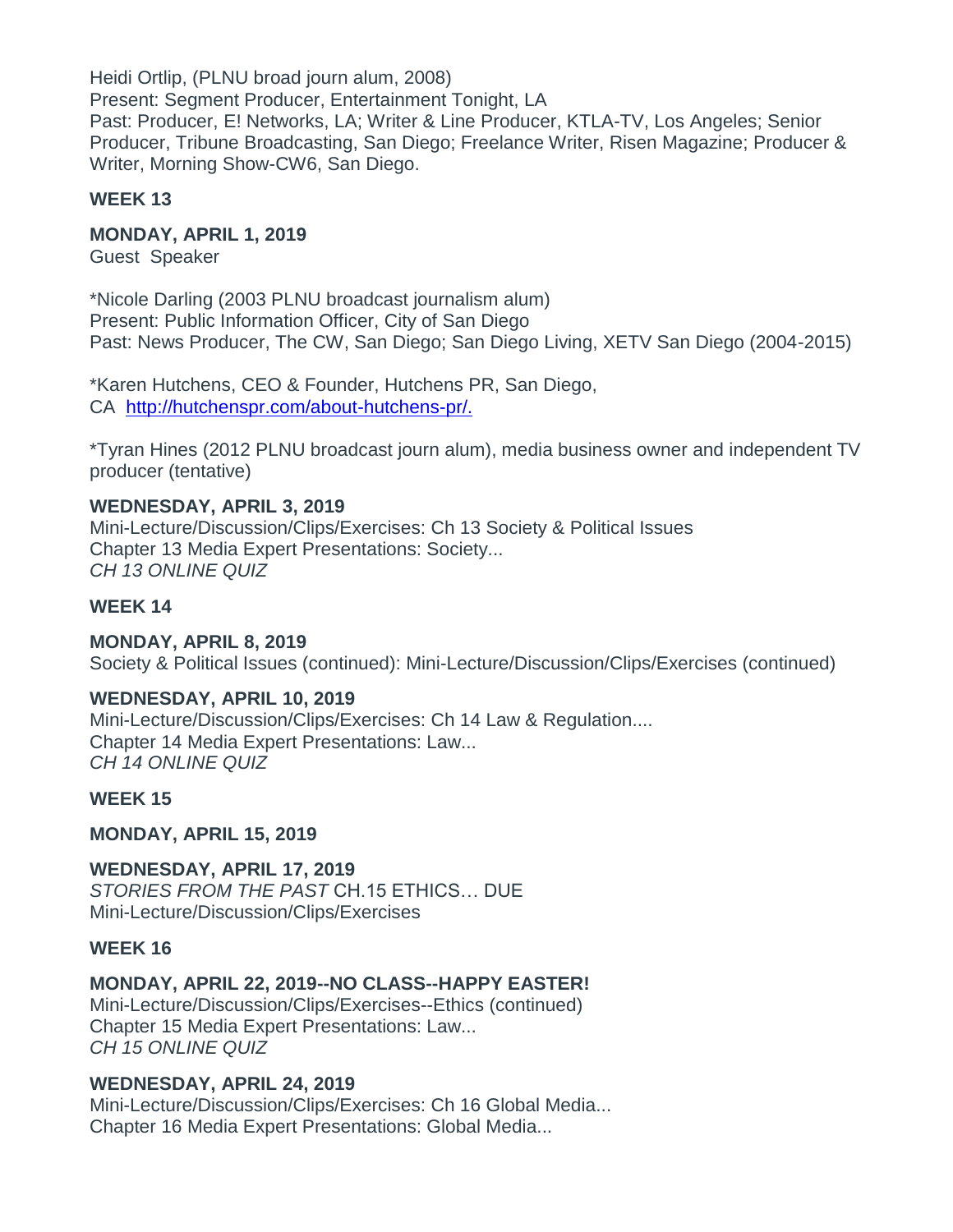Heidi Ortlip, (PLNU broad journ alum, 2008) Present: Segment Producer, Entertainment Tonight, LA Past: Producer, E! Networks, LA; Writer & Line Producer, KTLA-TV, Los Angeles; Senior Producer, Tribune Broadcasting, San Diego; Freelance Writer, Risen Magazine; Producer & Writer, Morning Show-CW6, San Diego.

## **WEEK 13**

## **MONDAY, APRIL 1, 2019**

Guest Speaker

\*Nicole Darling (2003 PLNU broadcast journalism alum) Present: Public Information Officer, City of San Diego Past: News Producer, The CW, San Diego; San Diego Living, XETV San Diego (2004-2015)

\*Karen Hutchens, CEO & Founder, Hutchens PR, San Diego, CA [http://hutchenspr.com/about-hutchens-pr/.](http://hutchenspr.com/about-hutchens-pr/)

\*Tyran Hines (2012 PLNU broadcast journ alum), media business owner and independent TV producer (tentative)

**WEDNESDAY, APRIL 3, 2019** Mini-Lecture/Discussion/Clips/Exercises: Ch 13 Society & Political Issues Chapter 13 Media Expert Presentations: Society... *CH 13 ONLINE QUIZ*

### **WEEK 14**

**MONDAY, APRIL 8, 2019** Society & Political Issues (continued): Mini-Lecture/Discussion/Clips/Exercises (continued)

# **WEDNESDAY, APRIL 10, 2019**

Mini-Lecture/Discussion/Clips/Exercises: Ch 14 Law & Regulation.... Chapter 14 Media Expert Presentations: Law... *CH 14 ONLINE QUIZ*

### **WEEK 15**

**MONDAY, APRIL 15, 2019**

**WEDNESDAY, APRIL 17, 2019** *STORIES FROM THE PAST* CH.15 ETHICS… DUE Mini-Lecture/Discussion/Clips/Exercises

### **WEEK 16**

# **MONDAY, APRIL 22, 2019--NO CLASS--HAPPY EASTER!**

Mini-Lecture/Discussion/Clips/Exercises--Ethics (continued) Chapter 15 Media Expert Presentations: Law... *CH 15 ONLINE QUIZ*

# **WEDNESDAY, APRIL 24, 2019**

Mini-Lecture/Discussion/Clips/Exercises: Ch 16 Global Media... Chapter 16 Media Expert Presentations: Global Media...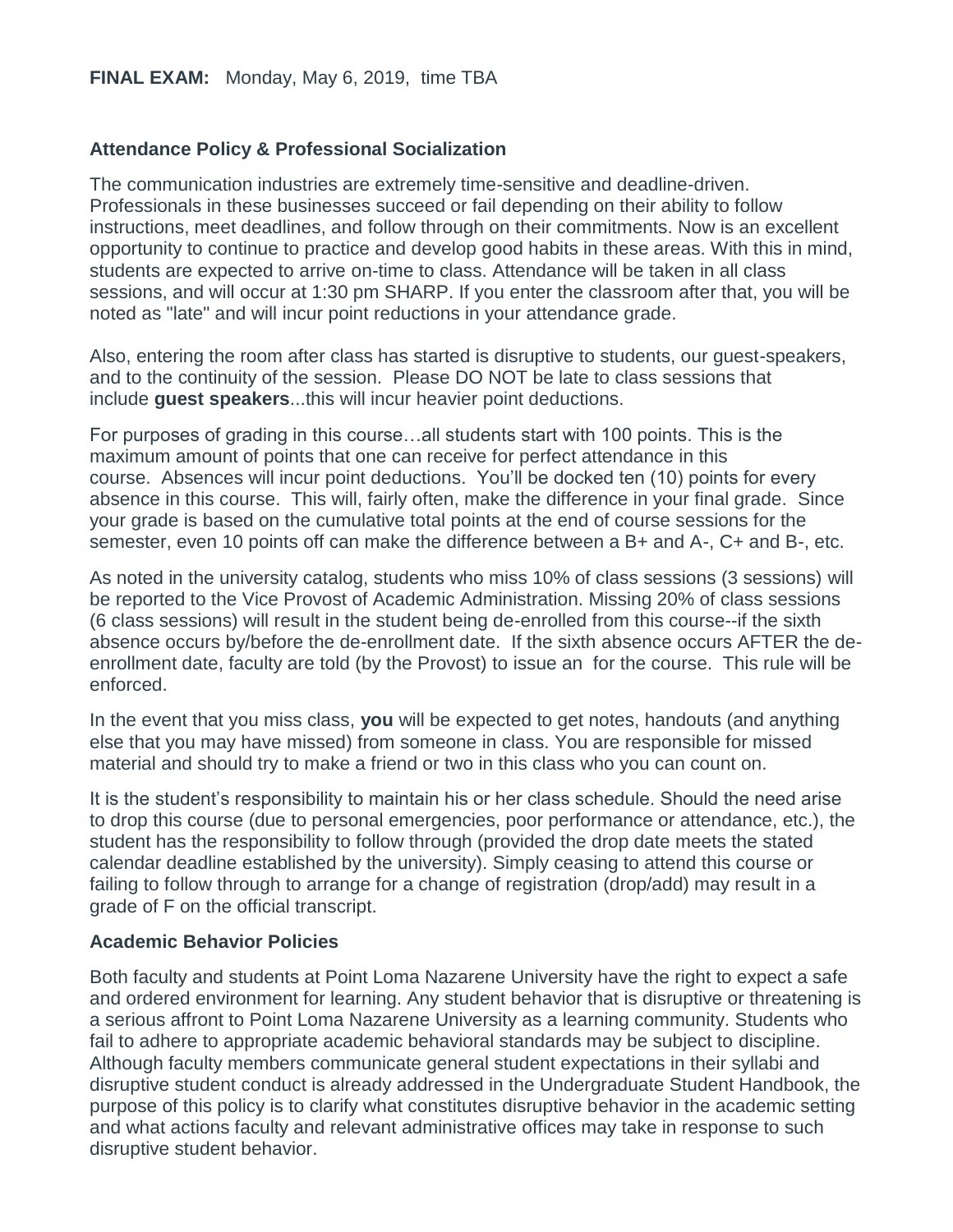## **Attendance Policy & Professional Socialization**

The communication industries are extremely time-sensitive and deadline-driven. Professionals in these businesses succeed or fail depending on their ability to follow instructions, meet deadlines, and follow through on their commitments. Now is an excellent opportunity to continue to practice and develop good habits in these areas. With this in mind, students are expected to arrive on-time to class. Attendance will be taken in all class sessions, and will occur at 1:30 pm SHARP. If you enter the classroom after that, you will be noted as "late" and will incur point reductions in your attendance grade.

Also, entering the room after class has started is disruptive to students, our guest-speakers, and to the continuity of the session. Please DO NOT be late to class sessions that include **guest speakers**...this will incur heavier point deductions.

For purposes of grading in this course…all students start with 100 points. This is the maximum amount of points that one can receive for perfect attendance in this course. Absences will incur point deductions. You'll be docked ten (10) points for every absence in this course. This will, fairly often, make the difference in your final grade. Since your grade is based on the cumulative total points at the end of course sessions for the semester, even 10 points off can make the difference between a B+ and A-, C+ and B-, etc.

As noted in the university catalog, students who miss 10% of class sessions (3 sessions) will be reported to the Vice Provost of Academic Administration. Missing 20% of class sessions (6 class sessions) will result in the student being de-enrolled from this course--if the sixth absence occurs by/before the de-enrollment date. If the sixth absence occurs AFTER the deenrollment date, faculty are told (by the Provost) to issue an for the course. This rule will be enforced.

In the event that you miss class, **you** will be expected to get notes, handouts (and anything else that you may have missed) from someone in class. You are responsible for missed material and should try to make a friend or two in this class who you can count on.

It is the student's responsibility to maintain his or her class schedule. Should the need arise to drop this course (due to personal emergencies, poor performance or attendance, etc.), the student has the responsibility to follow through (provided the drop date meets the stated calendar deadline established by the university). Simply ceasing to attend this course or failing to follow through to arrange for a change of registration (drop/add) may result in a grade of F on the official transcript.

### **Academic Behavior Policies**

Both faculty and students at Point Loma Nazarene University have the right to expect a safe and ordered environment for learning. Any student behavior that is disruptive or threatening is a serious affront to Point Loma Nazarene University as a learning community. Students who fail to adhere to appropriate academic behavioral standards may be subject to discipline. Although faculty members communicate general student expectations in their syllabi and disruptive student conduct is already addressed in the Undergraduate Student Handbook, the purpose of this policy is to clarify what constitutes disruptive behavior in the academic setting and what actions faculty and relevant administrative offices may take in response to such disruptive student behavior.